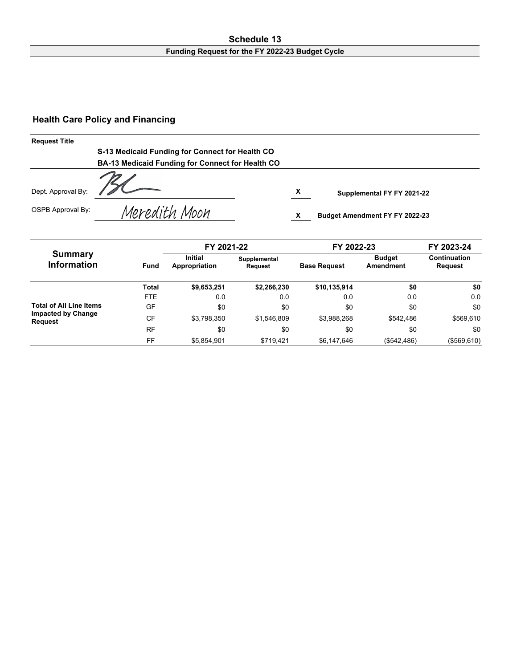#### **Schedule 13 Funding Request for the FY 2022-23 Budget Cycle**

#### **Health Care Policy and Financing**

| <b>Request Title</b> |                                                  |   |                                       |
|----------------------|--------------------------------------------------|---|---------------------------------------|
|                      | S-13 Medicaid Funding for Connect for Health CO  |   |                                       |
|                      | BA-13 Medicaid Funding for Connect for Health CO |   |                                       |
| Dept. Approval By:   |                                                  | x | Supplemental FY FY 2021-22            |
| OSPB Approval By:    | Meredith Moon                                    |   | <b>Budget Amendment FY FY 2022-23</b> |

|                                             |              | FY 2021-22                                                 |             | FY 2022-23          | FY 2023-24<br>Continuation<br><b>Request</b> |             |
|---------------------------------------------|--------------|------------------------------------------------------------|-------------|---------------------|----------------------------------------------|-------------|
| <b>Summary</b><br>Information               | Fund         | <b>Initial</b><br>Supplemental<br>Appropriation<br>Request |             | <b>Base Request</b> |                                              |             |
|                                             | <b>Total</b> | \$9,653,251                                                | \$2,266,230 | \$10,135,914        | \$0                                          | \$0         |
|                                             | <b>FTE</b>   | 0.0                                                        | 0.0         | 0.0                 | 0.0                                          | 0.0         |
| <b>Total of All Line Items</b>              | GF           | \$0                                                        | \$0         | \$0                 | \$0                                          | \$0         |
| <b>Impacted by Change</b><br><b>Request</b> | CF           | \$3.798.350                                                | \$1,546,809 | \$3,988,268         | \$542.486                                    | \$569,610   |
|                                             | <b>RF</b>    | \$0                                                        | \$0         | \$0                 | \$0                                          | \$0         |
|                                             | FF           | \$5,854,901                                                | \$719,421   | \$6,147,646         | (\$542,486)                                  | (\$569,610) |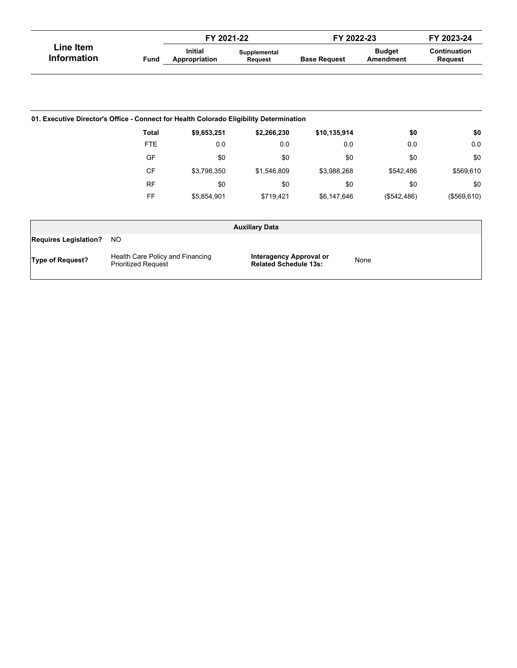|                                 |      | FY 2021-22                      |                         | FY 2022-23          |                            | FY 2023-24              |
|---------------------------------|------|---------------------------------|-------------------------|---------------------|----------------------------|-------------------------|
| Line Item<br><b>Information</b> | Fund | <b>Initial</b><br>Appropriation | Supplemental<br>Reauest | <b>Base Request</b> | <b>Budget</b><br>Amendment | Continuation<br>Reauest |

| 01. Executive Director's Office - Connect for Health Colorado Eligibility Determination |              |             |             |              |             |             |  |  |  |  |  |
|-----------------------------------------------------------------------------------------|--------------|-------------|-------------|--------------|-------------|-------------|--|--|--|--|--|
|                                                                                         | <b>Total</b> | \$9,653,251 | \$2,266,230 | \$10,135,914 | \$0         | \$0         |  |  |  |  |  |
|                                                                                         | <b>FTE</b>   | 0.0         | 0.0         | 0.0          | 0.0         | 0.0         |  |  |  |  |  |
|                                                                                         | GF           | \$0         | \$0         | \$0          | \$0         | \$0         |  |  |  |  |  |
|                                                                                         | CF           | \$3,798,350 | \$1,546,809 | \$3,988,268  | \$542,486   | \$569,610   |  |  |  |  |  |
|                                                                                         | <b>RF</b>    | \$0         | \$0         | \$0          | \$0         | \$0         |  |  |  |  |  |
|                                                                                         | FF           | \$5,854,901 | \$719,421   | \$6,147,646  | (\$542,486) | (\$569,610) |  |  |  |  |  |

| <b>Auxiliary Data</b>        |                                                                |                                                         |      |  |  |  |  |
|------------------------------|----------------------------------------------------------------|---------------------------------------------------------|------|--|--|--|--|
| <b>Requires Legislation?</b> | NO.                                                            |                                                         |      |  |  |  |  |
| <b>Type of Request?</b>      | Health Care Policy and Financing<br><b>Prioritized Request</b> | Interagency Approval or<br><b>Related Schedule 13s:</b> | None |  |  |  |  |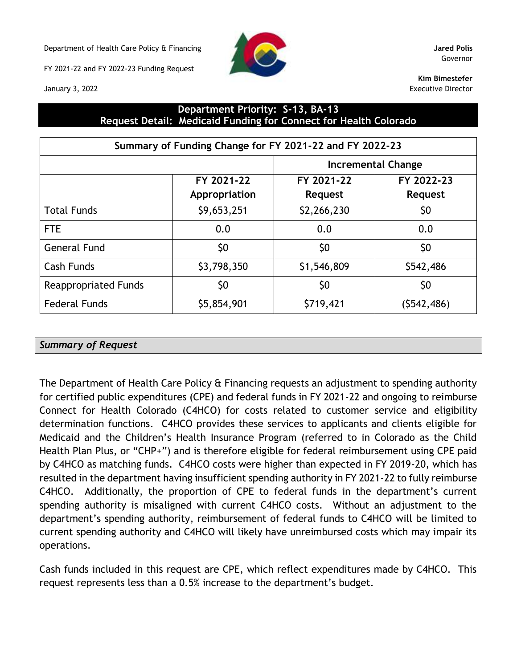Department of Health Care Policy & Financing **Jared Polis**

FY 2021-22 and FY 2022-23 Funding Request



Governor

**Kim Bimestefer** Executive Director

### **Department Priority: S-13, BA-13 Request Detail: Medicaid Funding for Connect for Health Colorado**

| Summary of Funding Change for FY 2021-22 and FY 2022-23 |                             |                              |                              |  |  |  |  |
|---------------------------------------------------------|-----------------------------|------------------------------|------------------------------|--|--|--|--|
|                                                         |                             |                              | <b>Incremental Change</b>    |  |  |  |  |
|                                                         | FY 2021-22<br>Appropriation | FY 2021-22<br><b>Request</b> | FY 2022-23<br><b>Request</b> |  |  |  |  |
| <b>Total Funds</b>                                      | \$9,653,251                 | \$2,266,230                  | \$0                          |  |  |  |  |
| <b>FTE</b>                                              | 0.0                         | 0.0                          | 0.0                          |  |  |  |  |
| <b>General Fund</b>                                     | \$0                         | \$0                          | \$0                          |  |  |  |  |
| Cash Funds                                              | \$3,798,350                 | \$1,546,809                  | \$542,486                    |  |  |  |  |
| <b>Reappropriated Funds</b>                             | \$0                         | \$0                          | \$0                          |  |  |  |  |
| <b>Federal Funds</b>                                    | \$5,854,901                 | \$719,421                    | (5542, 486)                  |  |  |  |  |

### *Summary of Request*

The Department of Health Care Policy & Financing requests an adjustment to spending authority for certified public expenditures (CPE) and federal funds in FY 2021-22 and ongoing to reimburse Connect for Health Colorado (C4HCO) for costs related to customer service and eligibility determination functions. C4HCO provides these services to applicants and clients eligible for Medicaid and the Children's Health Insurance Program (referred to in Colorado as the Child Health Plan Plus, or "CHP+") and is therefore eligible for federal reimbursement using CPE paid by C4HCO as matching funds. C4HCO costs were higher than expected in FY 2019-20, which has resulted in the department having insufficient spending authority in FY 2021-22 to fully reimburse C4HCO. Additionally, the proportion of CPE to federal funds in the department's current spending authority is misaligned with current C4HCO costs. Without an adjustment to the department's spending authority, reimbursement of federal funds to C4HCO will be limited to current spending authority and C4HCO will likely have unreimbursed costs which may impair its operations.

Cash funds included in this request are CPE, which reflect expenditures made by C4HCO. This request represents less than a 0.5% increase to the department's budget.

January 3, 2022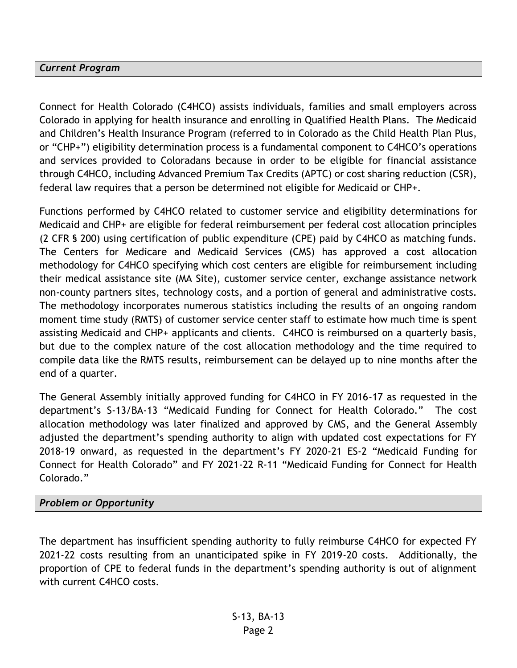#### *Current Program*

Connect for Health Colorado (C4HCO) assists individuals, families and small employers across Colorado in applying for health insurance and enrolling in Qualified Health Plans. The Medicaid and Children's Health Insurance Program (referred to in Colorado as the Child Health Plan Plus, or "CHP+") eligibility determination process is a fundamental component to C4HCO's operations and services provided to Coloradans because in order to be eligible for financial assistance through C4HCO, including Advanced Premium Tax Credits (APTC) or cost sharing reduction (CSR), federal law requires that a person be determined not eligible for Medicaid or CHP+.

Functions performed by C4HCO related to customer service and eligibility determinations for Medicaid and CHP+ are eligible for federal reimbursement per federal cost allocation principles (2 CFR § 200) using certification of public expenditure (CPE) paid by C4HCO as matching funds. The Centers for Medicare and Medicaid Services (CMS) has approved a cost allocation methodology for C4HCO specifying which cost centers are eligible for reimbursement including their medical assistance site (MA Site), customer service center, exchange assistance network non-county partners sites, technology costs, and a portion of general and administrative costs. The methodology incorporates numerous statistics including the results of an ongoing random moment time study (RMTS) of customer service center staff to estimate how much time is spent assisting Medicaid and CHP+ applicants and clients. C4HCO is reimbursed on a quarterly basis, but due to the complex nature of the cost allocation methodology and the time required to compile data like the RMTS results, reimbursement can be delayed up to nine months after the end of a quarter.

The General Assembly initially approved funding for C4HCO in FY 2016-17 as requested in the department's S-13/BA-13 "Medicaid Funding for Connect for Health Colorado." The cost allocation methodology was later finalized and approved by CMS, and the General Assembly adjusted the department's spending authority to align with updated cost expectations for FY 2018-19 onward, as requested in the department's FY 2020-21 ES-2 "Medicaid Funding for Connect for Health Colorado" and FY 2021-22 R-11 "Medicaid Funding for Connect for Health Colorado."

### *Problem or Opportunity*

The department has insufficient spending authority to fully reimburse C4HCO for expected FY 2021-22 costs resulting from an unanticipated spike in FY 2019-20 costs. Additionally, the proportion of CPE to federal funds in the department's spending authority is out of alignment with current C4HCO costs.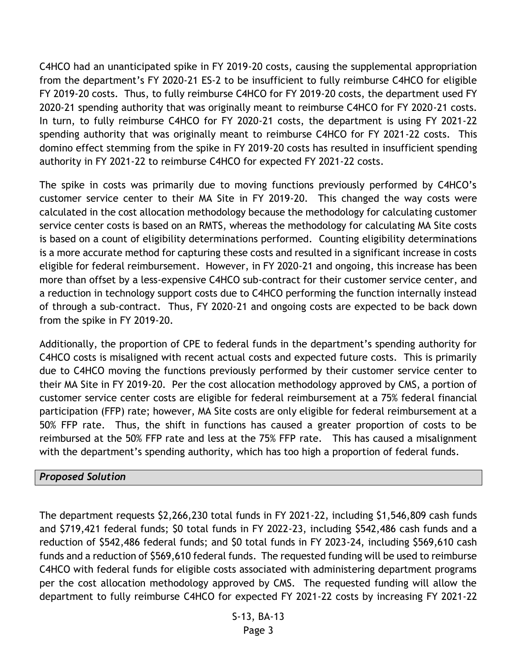C4HCO had an unanticipated spike in FY 2019-20 costs, causing the supplemental appropriation from the department's FY 2020-21 ES-2 to be insufficient to fully reimburse C4HCO for eligible FY 2019-20 costs. Thus, to fully reimburse C4HCO for FY 2019-20 costs, the department used FY 2020-21 spending authority that was originally meant to reimburse C4HCO for FY 2020-21 costs. In turn, to fully reimburse C4HCO for FY 2020-21 costs, the department is using FY 2021-22 spending authority that was originally meant to reimburse C4HCO for FY 2021-22 costs. This domino effect stemming from the spike in FY 2019-20 costs has resulted in insufficient spending authority in FY 2021-22 to reimburse C4HCO for expected FY 2021-22 costs.

The spike in costs was primarily due to moving functions previously performed by C4HCO's customer service center to their MA Site in FY 2019-20. This changed the way costs were calculated in the cost allocation methodology because the methodology for calculating customer service center costs is based on an RMTS, whereas the methodology for calculating MA Site costs is based on a count of eligibility determinations performed. Counting eligibility determinations is a more accurate method for capturing these costs and resulted in a significant increase in costs eligible for federal reimbursement. However, in FY 2020-21 and ongoing, this increase has been more than offset by a less-expensive C4HCO sub-contract for their customer service center, and a reduction in technology support costs due to C4HCO performing the function internally instead of through a sub-contract. Thus, FY 2020-21 and ongoing costs are expected to be back down from the spike in FY 2019-20.

Additionally, the proportion of CPE to federal funds in the department's spending authority for C4HCO costs is misaligned with recent actual costs and expected future costs. This is primarily due to C4HCO moving the functions previously performed by their customer service center to their MA Site in FY 2019-20. Per the cost allocation methodology approved by CMS, a portion of customer service center costs are eligible for federal reimbursement at a 75% federal financial participation (FFP) rate; however, MA Site costs are only eligible for federal reimbursement at a 50% FFP rate. Thus, the shift in functions has caused a greater proportion of costs to be reimbursed at the 50% FFP rate and less at the 75% FFP rate. This has caused a misalignment with the department's spending authority, which has too high a proportion of federal funds.

### *Proposed Solution*

The department requests \$2,266,230 total funds in FY 2021-22, including \$1,546,809 cash funds and \$719,421 federal funds; \$0 total funds in FY 2022-23, including \$542,486 cash funds and a reduction of \$542,486 federal funds; and \$0 total funds in FY 2023-24, including \$569,610 cash funds and a reduction of \$569,610 federal funds. The requested funding will be used to reimburse C4HCO with federal funds for eligible costs associated with administering department programs per the cost allocation methodology approved by CMS. The requested funding will allow the department to fully reimburse C4HCO for expected FY 2021-22 costs by increasing FY 2021-22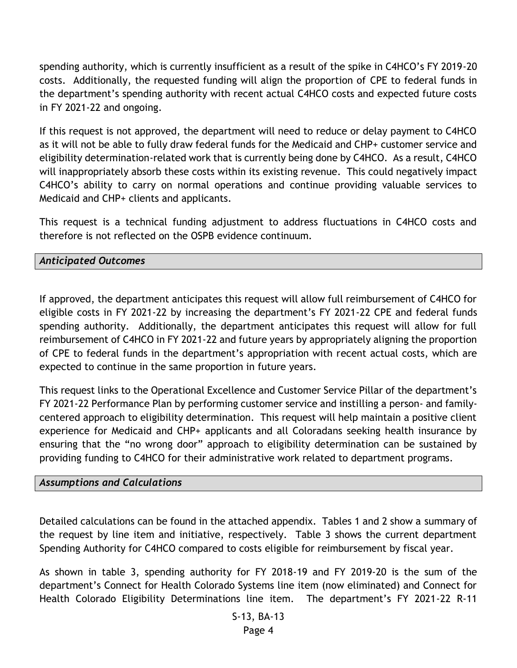spending authority, which is currently insufficient as a result of the spike in C4HCO's FY 2019-20 costs. Additionally, the requested funding will align the proportion of CPE to federal funds in the department's spending authority with recent actual C4HCO costs and expected future costs in FY 2021-22 and ongoing.

If this request is not approved, the department will need to reduce or delay payment to C4HCO as it will not be able to fully draw federal funds for the Medicaid and CHP+ customer service and eligibility determination-related work that is currently being done by C4HCO. As a result, C4HCO will inappropriately absorb these costs within its existing revenue. This could negatively impact C4HCO's ability to carry on normal operations and continue providing valuable services to Medicaid and CHP+ clients and applicants.

This request is a technical funding adjustment to address fluctuations in C4HCO costs and therefore is not reflected on the OSPB evidence continuum.

#### *Anticipated Outcomes*

If approved, the department anticipates this request will allow full reimbursement of C4HCO for eligible costs in FY 2021-22 by increasing the department's FY 2021-22 CPE and federal funds spending authority. Additionally, the department anticipates this request will allow for full reimbursement of C4HCO in FY 2021-22 and future years by appropriately aligning the proportion of CPE to federal funds in the department's appropriation with recent actual costs, which are expected to continue in the same proportion in future years.

This request links to the Operational Excellence and Customer Service Pillar of the department's FY 2021-22 Performance Plan by performing customer service and instilling a person- and familycentered approach to eligibility determination. This request will help maintain a positive client experience for Medicaid and CHP+ applicants and all Coloradans seeking health insurance by ensuring that the "no wrong door" approach to eligibility determination can be sustained by providing funding to C4HCO for their administrative work related to department programs.

#### *Assumptions and Calculations*

Detailed calculations can be found in the attached appendix. Tables 1 and 2 show a summary of the request by line item and initiative, respectively. Table 3 shows the current department Spending Authority for C4HCO compared to costs eligible for reimbursement by fiscal year.

As shown in table 3, spending authority for FY 2018-19 and FY 2019-20 is the sum of the department's Connect for Health Colorado Systems line item (now eliminated) and Connect for Health Colorado Eligibility Determinations line item. The department's FY 2021-22 R-11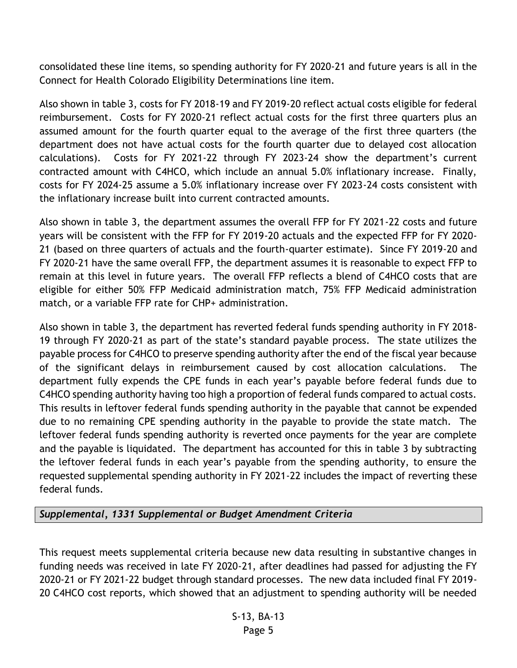consolidated these line items, so spending authority for FY 2020-21 and future years is all in the Connect for Health Colorado Eligibility Determinations line item.

Also shown in table 3, costs for FY 2018-19 and FY 2019-20 reflect actual costs eligible for federal reimbursement. Costs for FY 2020-21 reflect actual costs for the first three quarters plus an assumed amount for the fourth quarter equal to the average of the first three quarters (the department does not have actual costs for the fourth quarter due to delayed cost allocation calculations). Costs for FY 2021-22 through FY 2023-24 show the department's current contracted amount with C4HCO, which include an annual 5.0% inflationary increase. Finally, costs for FY 2024-25 assume a 5.0% inflationary increase over FY 2023-24 costs consistent with the inflationary increase built into current contracted amounts.

Also shown in table 3, the department assumes the overall FFP for FY 2021-22 costs and future years will be consistent with the FFP for FY 2019-20 actuals and the expected FFP for FY 2020- 21 (based on three quarters of actuals and the fourth-quarter estimate). Since FY 2019-20 and FY 2020-21 have the same overall FFP, the department assumes it is reasonable to expect FFP to remain at this level in future years. The overall FFP reflects a blend of C4HCO costs that are eligible for either 50% FFP Medicaid administration match, 75% FFP Medicaid administration match, or a variable FFP rate for CHP+ administration.

Also shown in table 3, the department has reverted federal funds spending authority in FY 2018- 19 through FY 2020-21 as part of the state's standard payable process. The state utilizes the payable process for C4HCO to preserve spending authority after the end of the fiscal year because of the significant delays in reimbursement caused by cost allocation calculations. The department fully expends the CPE funds in each year's payable before federal funds due to C4HCO spending authority having too high a proportion of federal funds compared to actual costs. This results in leftover federal funds spending authority in the payable that cannot be expended due to no remaining CPE spending authority in the payable to provide the state match. The leftover federal funds spending authority is reverted once payments for the year are complete and the payable is liquidated. The department has accounted for this in table 3 by subtracting the leftover federal funds in each year's payable from the spending authority, to ensure the requested supplemental spending authority in FY 2021-22 includes the impact of reverting these federal funds.

### *Supplemental, 1331 Supplemental or Budget Amendment Criteria*

This request meets supplemental criteria because new data resulting in substantive changes in funding needs was received in late FY 2020-21, after deadlines had passed for adjusting the FY 2020-21 or FY 2021-22 budget through standard processes. The new data included final FY 2019- 20 C4HCO cost reports, which showed that an adjustment to spending authority will be needed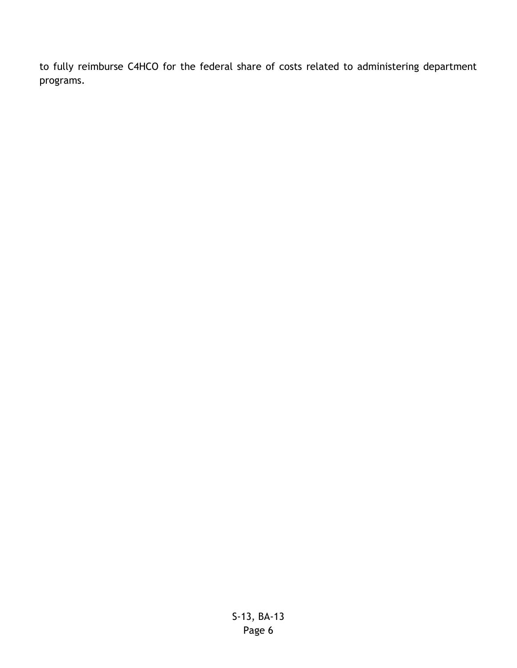to fully reimburse C4HCO for the federal share of costs related to administering department programs.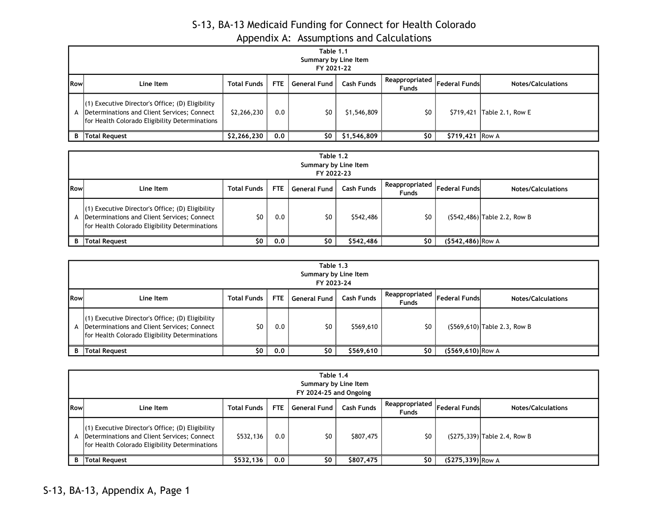# S-13, BA-13 Medicaid Funding for Connect for Health Colorado Appendix A: Assumptions and Calculations

|             | Table 1.1<br>Summary by Line Item<br>FY 2021-22                                                                                                     |                    |            |                     |                   |                                  |                      |                           |  |  |
|-------------|-----------------------------------------------------------------------------------------------------------------------------------------------------|--------------------|------------|---------------------|-------------------|----------------------------------|----------------------|---------------------------|--|--|
| <b>IRow</b> | Line Item                                                                                                                                           | <b>Total Funds</b> | <b>FTE</b> | <b>General Fund</b> | <b>Cash Funds</b> | Reappropriated  <br><b>Funds</b> | <b>Federal Funds</b> | <b>Notes/Calculations</b> |  |  |
| А           | $(1)$ Executive Director's Office; (D) Eligibility<br>Determinations and Client Services; Connect<br>for Health Colorado Eligibility Determinations | \$2,266,230        | 0.0        | \$0                 | \$1,546,809       | \$0                              | \$719,421            | Table 2.1, Row E          |  |  |
| B           | Total Reguest                                                                                                                                       | \$2,266,230        | 0.0        | \$0                 | \$1,546,809       | \$0                              | $$719,421$ Row A     |                           |  |  |

| Table 1.2<br>Summary by Line Item<br>FY 2022-23 |                                                                                                                                                     |                    |      |              |                   |                                |                      |                                |  |
|-------------------------------------------------|-----------------------------------------------------------------------------------------------------------------------------------------------------|--------------------|------|--------------|-------------------|--------------------------------|----------------------|--------------------------------|--|
| <b>I</b> Row                                    | Line Item                                                                                                                                           | <b>Total Funds</b> | FTE. | General Fund | <b>Cash Funds</b> | Reappropriated<br><b>Funds</b> | <b>Federal Funds</b> | <b>Notes/Calculations</b>      |  |
|                                                 | $(1)$ Executive Director's Office; (D) Eligibility<br>Determinations and Client Services; Connect<br>for Health Colorado Eligibility Determinations | \$0                | 0.0  | \$0          | \$542,486         | \$0                            |                      | $(5542, 486)$ Table 2.2, Row B |  |
| R                                               | <b>Total Request</b>                                                                                                                                | \$0                | 0.0  | \$0          | \$542,486         | S0                             | $(5542, 486)$ Row A  |                                |  |

|              | Table 1.3<br>Summary by Line Item<br>FY 2023-24                                                                                                     |                    |            |              |            |                                                                     |                     |                              |  |  |
|--------------|-----------------------------------------------------------------------------------------------------------------------------------------------------|--------------------|------------|--------------|------------|---------------------------------------------------------------------|---------------------|------------------------------|--|--|
| <b>I</b> Row | Line Item                                                                                                                                           | <b>Total Funds</b> | <b>FTE</b> | General Fund | Cash Funds | $\overline{R}$ Reappropriated $\vert$ Federal Funds<br><b>Funds</b> |                     | <b>Notes/Calculations</b>    |  |  |
| A            | $(1)$ Executive Director's Office; (D) Eligibility<br>Determinations and Client Services; Connect<br>for Health Colorado Eligibility Determinations | \$0                | 0.0        | \$0          | \$569,610  | \$0                                                                 |                     | (\$569,610) Table 2.3, Row B |  |  |
| В            | Total Request                                                                                                                                       | \$0                | 0.0        | \$0          | \$569,610  | \$0                                                                 | $(S569, 610)$ Row A |                              |  |  |

|            | Table 1.4<br>Summary by Line Item<br>FY 2024-25 and Ongoing                                                                                            |                    |      |                     |                   |                                  |                      |                                |  |  |
|------------|--------------------------------------------------------------------------------------------------------------------------------------------------------|--------------------|------|---------------------|-------------------|----------------------------------|----------------------|--------------------------------|--|--|
| <b>Row</b> | Line Item                                                                                                                                              | <b>Total Funds</b> | FTE. | <b>General Fund</b> | <b>Cash Funds</b> | Reappropriated  <br><b>Funds</b> | <b>Federal Funds</b> | <b>Notes/Calculations</b>      |  |  |
|            | $(1)$ Executive Director's Office; (D) Eligibility<br>A  Determinations and Client Services; Connect<br>for Health Colorado Eligibility Determinations | \$532,136          | 0.0  | \$0                 | \$807,475         | \$0                              |                      | $(S275, 339)$ Table 2.4, Row B |  |  |
| B          | <b>Total Request</b>                                                                                                                                   | \$532,136          | 0.0  | \$0                 | \$807,475         | \$0                              | $($275,339)$ Row A   |                                |  |  |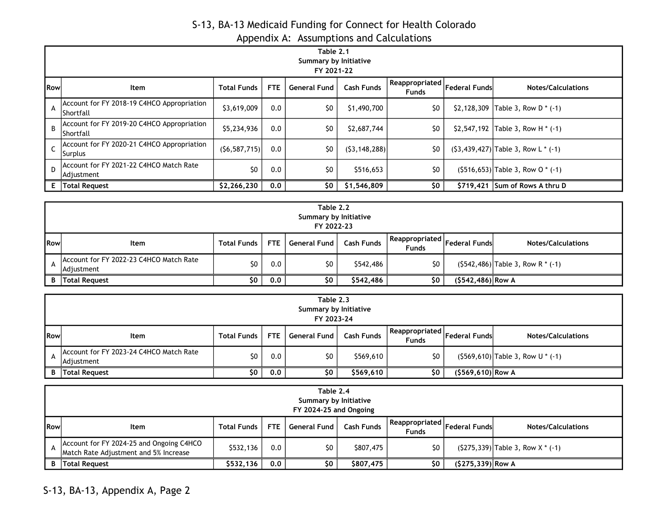# S-13, BA-13 Medicaid Funding for Connect for Health Colorado

| Appendix A: Assumptions and Calculations |  |
|------------------------------------------|--|
|                                          |  |

|            | Table 2.1<br>Summary by Initiative<br>FY 2021-22         |                    |            |                     |                   |                                |                      |                                          |  |  |
|------------|----------------------------------------------------------|--------------------|------------|---------------------|-------------------|--------------------------------|----------------------|------------------------------------------|--|--|
| <b>Row</b> | <b>Item</b>                                              | <b>Total Funds</b> | <b>FTE</b> | <b>General Fund</b> | <b>Cash Funds</b> | Reappropriated<br><b>Funds</b> | <b>Federal Funds</b> | <b>Notes/Calculations</b>                |  |  |
| A          | Account for FY 2018-19 C4HCO Appropriation<br>IShortfall | \$3,619,009        | 0.0        | \$0                 | \$1,490,700       | \$0                            |                      | \$2,128,309 Table 3, Row D $*$ (-1)      |  |  |
| B.         | Account for FY 2019-20 C4HCO Appropriation<br>IShortfall | \$5,234,936        | 0.0        | \$0                 | \$2,687,744       | \$0                            |                      | \$2,547,192 Table 3, Row H $*$ (-1)      |  |  |
|            | Account for FY 2020-21 C4HCO Appropriation<br> Surplus   | (56, 587, 715)     | 0.0        | \$0                 | (53, 148, 288)    | \$0                            |                      | $(53, 439, 427)$ Table 3, Row L $*$ (-1) |  |  |
| D          | Account for FY 2021-22 C4HCO Match Rate<br> Adjustment   | \$0                | 0.0        | \$0                 | \$516,653         | \$0                            |                      | $(5516, 653)$ Table 3, Row O $*$ (-1)    |  |  |
| E.         | <b>Total Request</b>                                     | \$2,266,230        | 0.0        | \$0                 | \$1,546,809       | \$0                            |                      | $$719,421$ Sum of Rows A thru D          |  |  |

|     | Table 2.2<br>Summary by Initiative<br>FY 2022-23      |                    |     |              |                   |                                                                                                |                     |                                       |  |  |
|-----|-------------------------------------------------------|--------------------|-----|--------------|-------------------|------------------------------------------------------------------------------------------------|---------------------|---------------------------------------|--|--|
| Row | Item                                                  | <b>Total Funds</b> | FTE | General Fund | <b>Cash Funds</b> | $\left  \text{.} \right $ Reappropriated $\left  \text{Federal Funds} \right $<br><b>Funds</b> |                     | <b>Notes/Calculations</b>             |  |  |
|     | Account for FY 2022-23 C4HCO Match Rate<br>Adjustment | \$0                | 0.0 | \$0          | \$542,486         | \$0                                                                                            |                     | $(5542, 486)$ Table 3, Row R $*$ (-1) |  |  |
| B   | Total Request                                         | \$0                | 0.0 | \$0          | \$542,486         | \$0                                                                                            | $(5542, 486)$ Row A |                                       |  |  |

|              | Table 2.3<br>Summary by Initiative<br>FY 2023-24      |                    |            |              |                   |                                |                      |                                       |  |
|--------------|-------------------------------------------------------|--------------------|------------|--------------|-------------------|--------------------------------|----------------------|---------------------------------------|--|
| <b>I</b> Row | Item                                                  | <b>Total Funds</b> | <b>FTE</b> | General Fund | <b>Cash Funds</b> | Reappropriated<br><b>Funds</b> | <b>Federal Funds</b> | <b>Notes/Calculations</b>             |  |
|              | Account for FY 2023-24 C4HCO Match Rate<br>Adjustment | \$0                | 0.0        | \$0          | \$569,610         | \$0                            |                      | $(5569, 610)$ Table 3, Row U $*$ (-1) |  |
|              | <b>B</b> Total Request                                | \$0                | 0.0        | Ş0.          | \$569,610         | \$0                            | $($569,610)$ Row A   |                                       |  |

|     | Table 2.4<br>Summary by Initiative<br>FY 2024-25 and Ongoing                      |                    |            |                     |                   |                                                      |                     |                                      |  |
|-----|-----------------------------------------------------------------------------------|--------------------|------------|---------------------|-------------------|------------------------------------------------------|---------------------|--------------------------------------|--|
| Row | Item                                                                              | <b>Total Funds</b> | <b>FTE</b> | <b>General Fund</b> | <b>Cash Funds</b> | $=$ Reappropriated $ $ Federal Funds<br><b>Funds</b> |                     | <b>Notes/Calculations</b>            |  |
|     | Account for FY 2024-25 and Ongoing C4HCO<br>Match Rate Adjustment and 5% Increase | \$532,136          | 0.0        | SO.                 | \$807,475         | \$0                                                  |                     | $(S275,339)$ Table 3, Row X $*$ (-1) |  |
| B   | Total Request                                                                     | \$532,136          | 0,0        | Ş0                  | \$807,475         | \$0                                                  | $(S275, 339)$ Row A |                                      |  |

S-13, BA-13, Appendix A, Page 2